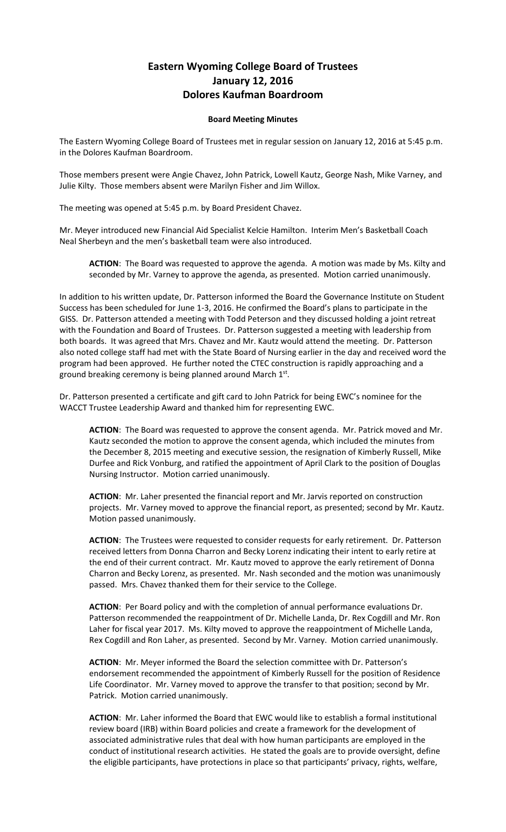## **Eastern Wyoming College Board of Trustees January 12, 2016 Dolores Kaufman Boardroom**

## **Board Meeting Minutes**

The Eastern Wyoming College Board of Trustees met in regular session on January 12, 2016 at 5:45 p.m. in the Dolores Kaufman Boardroom.

Those members present were Angie Chavez, John Patrick, Lowell Kautz, George Nash, Mike Varney, and Julie Kilty. Those members absent were Marilyn Fisher and Jim Willox.

The meeting was opened at 5:45 p.m. by Board President Chavez.

Mr. Meyer introduced new Financial Aid Specialist Kelcie Hamilton. Interim Men's Basketball Coach Neal Sherbeyn and the men's basketball team were also introduced.

**ACTION**: The Board was requested to approve the agenda. A motion was made by Ms. Kilty and seconded by Mr. Varney to approve the agenda, as presented. Motion carried unanimously.

In addition to his written update, Dr. Patterson informed the Board the Governance Institute on Student Success has been scheduled for June 1-3, 2016. He confirmed the Board's plans to participate in the GISS. Dr. Patterson attended a meeting with Todd Peterson and they discussed holding a joint retreat with the Foundation and Board of Trustees. Dr. Patterson suggested a meeting with leadership from both boards. It was agreed that Mrs. Chavez and Mr. Kautz would attend the meeting. Dr. Patterson also noted college staff had met with the State Board of Nursing earlier in the day and received word the program had been approved. He further noted the CTEC construction is rapidly approaching and a ground breaking ceremony is being planned around March  $1<sup>st</sup>$ .

Dr. Patterson presented a certificate and gift card to John Patrick for being EWC's nominee for the WACCT Trustee Leadership Award and thanked him for representing EWC.

**ACTION**: The Board was requested to approve the consent agenda. Mr. Patrick moved and Mr. Kautz seconded the motion to approve the consent agenda, which included the minutes from the December 8, 2015 meeting and executive session, the resignation of Kimberly Russell, Mike Durfee and Rick Vonburg, and ratified the appointment of April Clark to the position of Douglas Nursing Instructor. Motion carried unanimously.

**ACTION**: Mr. Laher presented the financial report and Mr. Jarvis reported on construction projects. Mr. Varney moved to approve the financial report, as presented; second by Mr. Kautz. Motion passed unanimously.

**ACTION**: The Trustees were requested to consider requests for early retirement. Dr. Patterson received letters from Donna Charron and Becky Lorenz indicating their intent to early retire at the end of their current contract. Mr. Kautz moved to approve the early retirement of Donna Charron and Becky Lorenz, as presented. Mr. Nash seconded and the motion was unanimously passed. Mrs. Chavez thanked them for their service to the College.

**ACTION**: Per Board policy and with the completion of annual performance evaluations Dr. Patterson recommended the reappointment of Dr. Michelle Landa, Dr. Rex Cogdill and Mr. Ron Laher for fiscal year 2017. Ms. Kilty moved to approve the reappointment of Michelle Landa, Rex Cogdill and Ron Laher, as presented. Second by Mr. Varney. Motion carried unanimously.

**ACTION**: Mr. Meyer informed the Board the selection committee with Dr. Patterson's endorsement recommended the appointment of Kimberly Russell for the position of Residence Life Coordinator. Mr. Varney moved to approve the transfer to that position; second by Mr. Patrick. Motion carried unanimously.

**ACTION**: Mr. Laher informed the Board that EWC would like to establish a formal institutional review board (IRB) within Board policies and create a framework for the development of associated administrative rules that deal with how human participants are employed in the conduct of institutional research activities. He stated the goals are to provide oversight, define the eligible participants, have protections in place so that participants' privacy, rights, welfare,